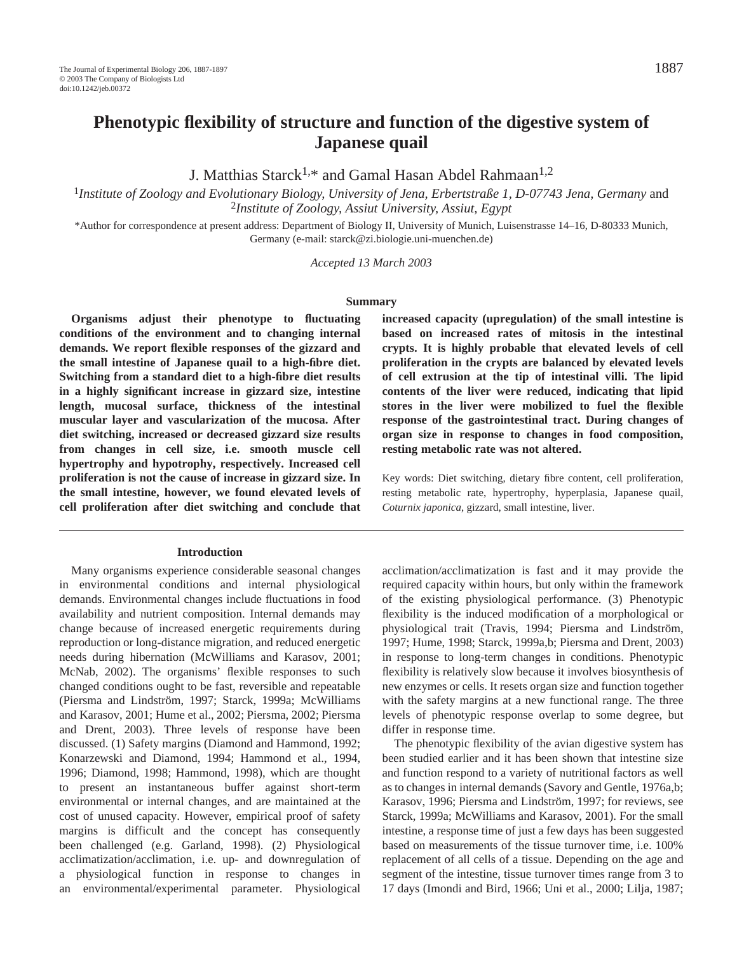# **Phenotypic flexibility of structure and function of the digestive system of Japanese quail**

J. Matthias Starck<sup>1,\*</sup> and Gamal Hasan Abdel Rahmaan<sup>1,2</sup>

<sup>1</sup>Institute of Zoology and Evolutionary Biology, University of Jena, Erbertstraße 1, D-07743 Jena, Germany and <sup>2</sup>*Institute of Zoology, Assiut University, Assiut, Egypt*

\*Author for correspondence at present address: Department of Biology II, University of Munich, Luisenstrasse 14–16, D-80333 Munich, Germany (e-mail: starck@zi.biologie.uni-muenchen.de)

*Accepted 13 March 2003* 

#### **Summary**

**Organisms adjust their phenotype to fluctuating conditions of the environment and to changing internal demands. We report flexible responses of the gizzard and the small intestine of Japanese quail to a high-fibre diet. Switching from a standard diet to a high-fibre diet results in a highly significant increase in gizzard size, intestine length, mucosal surface, thickness of the intestinal muscular layer and vascularization of the mucosa. After diet switching, increased or decreased gizzard size results from changes in cell size, i.e. smooth muscle cell hypertrophy and hypotrophy, respectively. Increased cell proliferation is not the cause of increase in gizzard size. In the small intestine, however, we found elevated levels of cell proliferation after diet switching and conclude that**

#### **Introduction**

Many organisms experience considerable seasonal changes in environmental conditions and internal physiological demands. Environmental changes include fluctuations in food availability and nutrient composition. Internal demands may change because of increased energetic requirements during reproduction or long-distance migration, and reduced energetic needs during hibernation (McWilliams and Karasov, 2001; McNab, 2002). The organisms' flexible responses to such changed conditions ought to be fast, reversible and repeatable (Piersma and Lindström, 1997; Starck, 1999a; McWilliams and Karasov, 2001; Hume et al., 2002; Piersma, 2002; Piersma and Drent, 2003). Three levels of response have been discussed. (1) Safety margins (Diamond and Hammond, 1992; Konarzewski and Diamond, 1994; Hammond et al., 1994, 1996; Diamond, 1998; Hammond, 1998), which are thought to present an instantaneous buffer against short-term environmental or internal changes, and are maintained at the cost of unused capacity. However, empirical proof of safety margins is difficult and the concept has consequently been challenged (e.g. Garland, 1998). (2) Physiological acclimatization/acclimation, i.e. up- and downregulation of a physiological function in response to changes in an environmental/experimental parameter. Physiological **increased capacity (upregulation) of the small intestine is based on increased rates of mitosis in the intestinal crypts. It is highly probable that elevated levels of cell proliferation in the crypts are balanced by elevated levels of cell extrusion at the tip of intestinal villi. The lipid contents of the liver were reduced, indicating that lipid stores in the liver were mobilized to fuel the flexible response of the gastrointestinal tract. During changes of organ size in response to changes in food composition, resting metabolic rate was not altered.** 

Key words: Diet switching, dietary fibre content, cell proliferation, resting metabolic rate, hypertrophy, hyperplasia, Japanese quail, *Coturnix japonica*, gizzard, small intestine, liver.

acclimation/acclimatization is fast and it may provide the required capacity within hours, but only within the framework of the existing physiological performance. (3) Phenotypic flexibility is the induced modification of a morphological or physiological trait (Travis, 1994; Piersma and Lindström, 1997; Hume, 1998; Starck, 1999a,b; Piersma and Drent, 2003) in response to long-term changes in conditions. Phenotypic flexibility is relatively slow because it involves biosynthesis of new enzymes or cells. It resets organ size and function together with the safety margins at a new functional range. The three levels of phenotypic response overlap to some degree, but differ in response time.

The phenotypic flexibility of the avian digestive system has been studied earlier and it has been shown that intestine size and function respond to a variety of nutritional factors as well as to changes in internal demands (Savory and Gentle, 1976a,b; Karasov, 1996; Piersma and Lindström, 1997; for reviews, see Starck, 1999a; McWilliams and Karasov, 2001). For the small intestine, a response time of just a few days has been suggested based on measurements of the tissue turnover time, i.e. 100% replacement of all cells of a tissue. Depending on the age and segment of the intestine, tissue turnover times range from 3 to 17 days (Imondi and Bird, 1966; Uni et al., 2000; Lilja, 1987;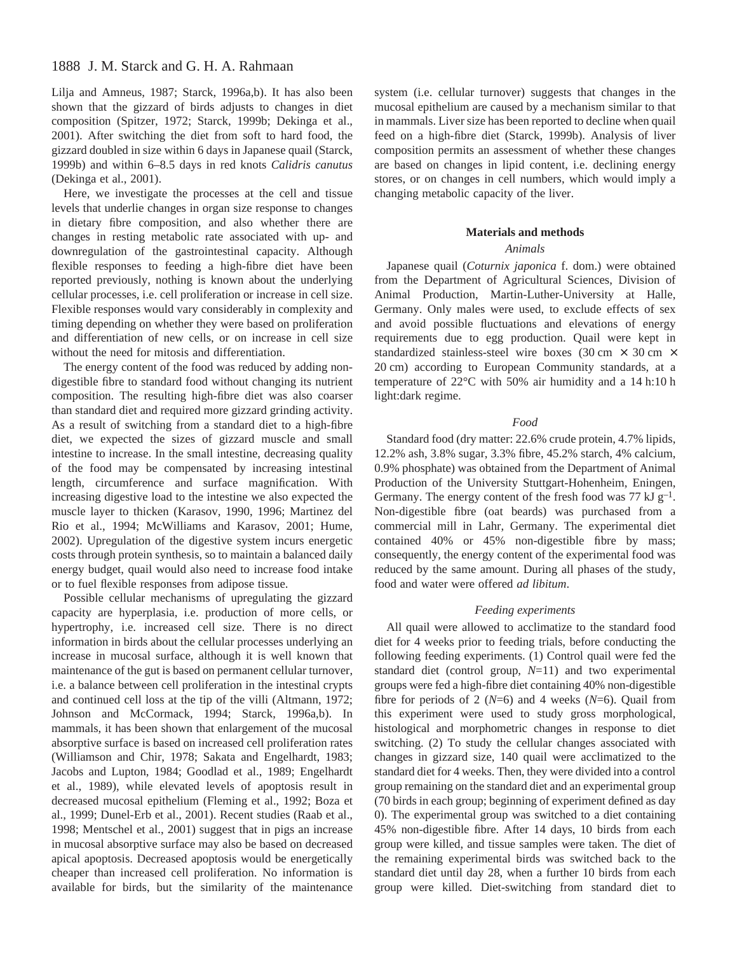# 1888 J. M. Starck and G. H. A. Rahmaan

Lilja and Amneus, 1987; Starck, 1996a,b). It has also been shown that the gizzard of birds adjusts to changes in diet composition (Spitzer, 1972; Starck, 1999b; Dekinga et al., 2001). After switching the diet from soft to hard food, the gizzard doubled in size within 6 days in Japanese quail (Starck, 1999b) and within 6–8.5 days in red knots *Calidris canutus* (Dekinga et al., 2001).

Here, we investigate the processes at the cell and tissue levels that underlie changes in organ size response to changes in dietary fibre composition, and also whether there are changes in resting metabolic rate associated with up- and downregulation of the gastrointestinal capacity. Although flexible responses to feeding a high-fibre diet have been reported previously, nothing is known about the underlying cellular processes, i.e. cell proliferation or increase in cell size. Flexible responses would vary considerably in complexity and timing depending on whether they were based on proliferation and differentiation of new cells, or on increase in cell size without the need for mitosis and differentiation.

The energy content of the food was reduced by adding nondigestible fibre to standard food without changing its nutrient composition. The resulting high-fibre diet was also coarser than standard diet and required more gizzard grinding activity. As a result of switching from a standard diet to a high-fibre diet, we expected the sizes of gizzard muscle and small intestine to increase. In the small intestine, decreasing quality of the food may be compensated by increasing intestinal length, circumference and surface magnification. With increasing digestive load to the intestine we also expected the muscle layer to thicken (Karasov, 1990, 1996; Martinez del Rio et al., 1994; McWilliams and Karasov, 2001; Hume, 2002). Upregulation of the digestive system incurs energetic costs through protein synthesis, so to maintain a balanced daily energy budget, quail would also need to increase food intake or to fuel flexible responses from adipose tissue.

Possible cellular mechanisms of upregulating the gizzard capacity are hyperplasia, i.e. production of more cells, or hypertrophy, i.e. increased cell size. There is no direct information in birds about the cellular processes underlying an increase in mucosal surface, although it is well known that maintenance of the gut is based on permanent cellular turnover, i.e. a balance between cell proliferation in the intestinal crypts and continued cell loss at the tip of the villi (Altmann, 1972; Johnson and McCormack, 1994; Starck, 1996a,b). In mammals, it has been shown that enlargement of the mucosal absorptive surface is based on increased cell proliferation rates (Williamson and Chir, 1978; Sakata and Engelhardt, 1983; Jacobs and Lupton, 1984; Goodlad et al., 1989; Engelhardt et al., 1989), while elevated levels of apoptosis result in decreased mucosal epithelium (Fleming et al., 1992; Boza et al., 1999; Dunel-Erb et al., 2001). Recent studies (Raab et al., 1998; Mentschel et al., 2001) suggest that in pigs an increase in mucosal absorptive surface may also be based on decreased apical apoptosis. Decreased apoptosis would be energetically cheaper than increased cell proliferation. No information is available for birds, but the similarity of the maintenance

system (i.e. cellular turnover) suggests that changes in the mucosal epithelium are caused by a mechanism similar to that in mammals. Liver size has been reported to decline when quail feed on a high-fibre diet (Starck, 1999b). Analysis of liver composition permits an assessment of whether these changes are based on changes in lipid content, i.e. declining energy stores, or on changes in cell numbers, which would imply a changing metabolic capacity of the liver.

### **Materials and methods**

# *Animals*

Japanese quail (*Coturnix japonica* f. dom.) were obtained from the Department of Agricultural Sciences, Division of Animal Production, Martin-Luther-University at Halle, Germany. Only males were used, to exclude effects of sex and avoid possible fluctuations and elevations of energy requirements due to egg production. Quail were kept in standardized stainless-steel wire boxes (30 cm  $\times$  30 cm  $\times$ 20 cm) according to European Community standards, at a temperature of  $22^{\circ}$ C with 50% air humidity and a 14 h:10 h light:dark regime.

### *Food*

Standard food (dry matter: 22.6% crude protein, 4.7% lipids, 12.2% ash, 3.8% sugar, 3.3% fibre, 45.2% starch, 4% calcium, 0.9% phosphate) was obtained from the Department of Animal Production of the University Stuttgart-Hohenheim, Eningen, Germany. The energy content of the fresh food was 77 kJ  $g^{-1}$ . Non-digestible fibre (oat beards) was purchased from a commercial mill in Lahr, Germany. The experimental diet contained 40% or 45% non-digestible fibre by mass; consequently, the energy content of the experimental food was reduced by the same amount. During all phases of the study, food and water were offered *ad libitum*.

### *Feeding experiments*

All quail were allowed to acclimatize to the standard food diet for 4 weeks prior to feeding trials, before conducting the following feeding experiments. (1) Control quail were fed the standard diet (control group, *N*=11) and two experimental groups were fed a high-fibre diet containing 40% non-digestible fibre for periods of 2 (*N*=6) and 4 weeks (*N*=6). Quail from this experiment were used to study gross morphological, histological and morphometric changes in response to diet switching. (2) To study the cellular changes associated with changes in gizzard size, 140 quail were acclimatized to the standard diet for 4 weeks. Then, they were divided into a control group remaining on the standard diet and an experimental group (70 birds in each group; beginning of experiment defined as day 0). The experimental group was switched to a diet containing 45% non-digestible fibre. After 14 days, 10 birds from each group were killed, and tissue samples were taken. The diet of the remaining experimental birds was switched back to the standard diet until day 28, when a further 10 birds from each group were killed. Diet-switching from standard diet to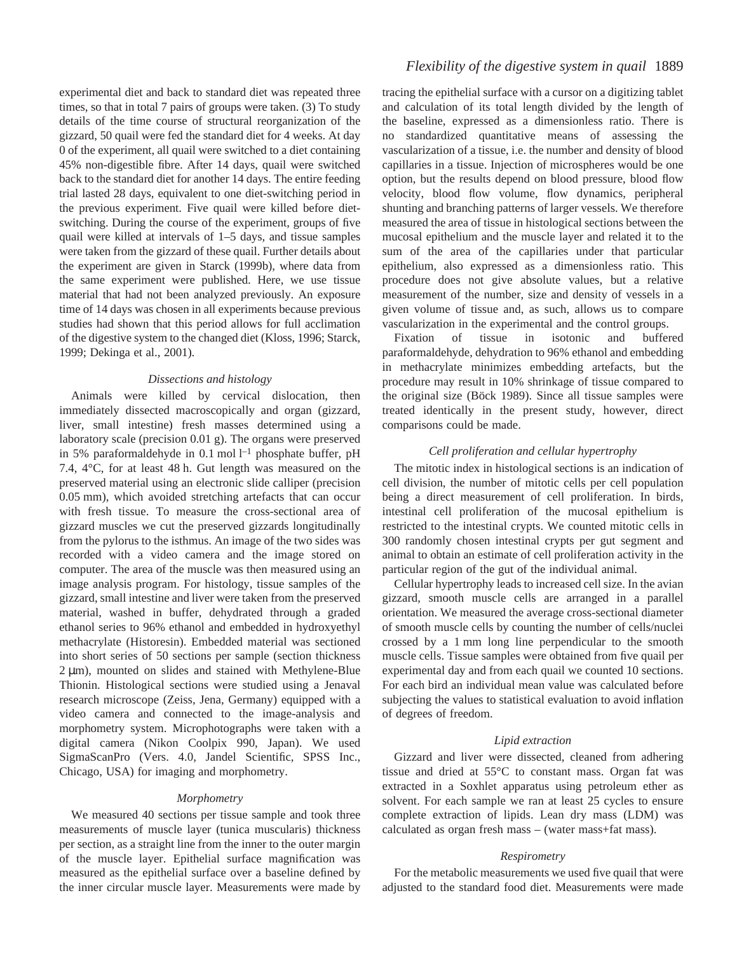experimental diet and back to standard diet was repeated three times, so that in total 7 pairs of groups were taken. (3) To study details of the time course of structural reorganization of the gizzard, 50 quail were fed the standard diet for 4 weeks. At day 0 of the experiment, all quail were switched to a diet containing 45% non-digestible fibre. After 14 days, quail were switched back to the standard diet for another 14 days. The entire feeding trial lasted 28 days, equivalent to one diet-switching period in the previous experiment. Five quail were killed before dietswitching. During the course of the experiment, groups of five quail were killed at intervals of 1–5 days, and tissue samples were taken from the gizzard of these quail. Further details about the experiment are given in Starck (1999b), where data from the same experiment were published. Here, we use tissue material that had not been analyzed previously. An exposure time of 14 days was chosen in all experiments because previous studies had shown that this period allows for full acclimation of the digestive system to the changed diet (Kloss, 1996; Starck, 1999; Dekinga et al., 2001).

# *Dissections and histology*

Animals were killed by cervical dislocation, then immediately dissected macroscopically and organ (gizzard, liver, small intestine) fresh masses determined using a laboratory scale (precision 0.01 g). The organs were preserved in 5% paraformaldehyde in 0.1 mol  $l^{-1}$  phosphate buffer, pH 7.4,  $4^{\circ}$ C, for at least 48 h. Gut length was measured on the preserved material using an electronic slide calliper (precision 0.05 mm), which avoided stretching artefacts that can occur with fresh tissue. To measure the cross-sectional area of gizzard muscles we cut the preserved gizzards longitudinally from the pylorus to the isthmus. An image of the two sides was recorded with a video camera and the image stored on computer. The area of the muscle was then measured using an image analysis program. For histology, tissue samples of the gizzard, small intestine and liver were taken from the preserved material, washed in buffer, dehydrated through a graded ethanol series to 96% ethanol and embedded in hydroxyethyl methacrylate (Historesin). Embedded material was sectioned into short series of 50 sections per sample (section thickness  $2 \mu m$ ), mounted on slides and stained with Methylene-Blue Thionin. Histological sections were studied using a Jenaval research microscope (Zeiss, Jena, Germany) equipped with a video camera and connected to the image-analysis and morphometry system. Microphotographs were taken with a digital camera (Nikon Coolpix 990, Japan). We used SigmaScanPro (Vers. 4.0, Jandel Scientific, SPSS Inc., Chicago, USA) for imaging and morphometry.

# *Morphometry*

We measured 40 sections per tissue sample and took three measurements of muscle layer (tunica muscularis) thickness per section, as a straight line from the inner to the outer margin of the muscle layer. Epithelial surface magnification was measured as the epithelial surface over a baseline defined by the inner circular muscle layer. Measurements were made by

# *Flexibility of the digestive system in quail* 1889

tracing the epithelial surface with a cursor on a digitizing tablet and calculation of its total length divided by the length of the baseline, expressed as a dimensionless ratio. There is no standardized quantitative means of assessing the vascularization of a tissue, i.e. the number and density of blood capillaries in a tissue. Injection of microspheres would be one option, but the results depend on blood pressure, blood flow velocity, blood flow volume, flow dynamics, peripheral shunting and branching patterns of larger vessels. We therefore measured the area of tissue in histological sections between the mucosal epithelium and the muscle layer and related it to the sum of the area of the capillaries under that particular epithelium, also expressed as a dimensionless ratio. This procedure does not give absolute values, but a relative measurement of the number, size and density of vessels in a given volume of tissue and, as such, allows us to compare vascularization in the experimental and the control groups.

Fixation of tissue in isotonic and buffered paraformaldehyde, dehydration to 96% ethanol and embedding in methacrylate minimizes embedding artefacts, but the procedure may result in 10% shrinkage of tissue compared to the original size (Böck 1989). Since all tissue samples were treated identically in the present study, however, direct comparisons could be made.

# *Cell proliferation and cellular hypertrophy*

The mitotic index in histological sections is an indication of cell division, the number of mitotic cells per cell population being a direct measurement of cell proliferation. In birds, intestinal cell proliferation of the mucosal epithelium is restricted to the intestinal crypts. We counted mitotic cells in 300 randomly chosen intestinal crypts per gut segment and animal to obtain an estimate of cell proliferation activity in the particular region of the gut of the individual animal.

Cellular hypertrophy leads to increased cell size. In the avian gizzard, smooth muscle cells are arranged in a parallel orientation. We measured the average cross-sectional diameter of smooth muscle cells by counting the number of cells/nuclei crossed by a 1 mm long line perpendicular to the smooth muscle cells. Tissue samples were obtained from five quail per experimental day and from each quail we counted 10 sections. For each bird an individual mean value was calculated before subjecting the values to statistical evaluation to avoid inflation of degrees of freedom.

## *Lipid extraction*

Gizzard and liver were dissected, cleaned from adhering tissue and dried at 55°C to constant mass. Organ fat was extracted in a Soxhlet apparatus using petroleum ether as solvent. For each sample we ran at least 25 cycles to ensure complete extraction of lipids. Lean dry mass (LDM) was calculated as organ fresh mass – (water mass+fat mass).

### *Respirometry*

For the metabolic measurements we used five quail that were adjusted to the standard food diet. Measurements were made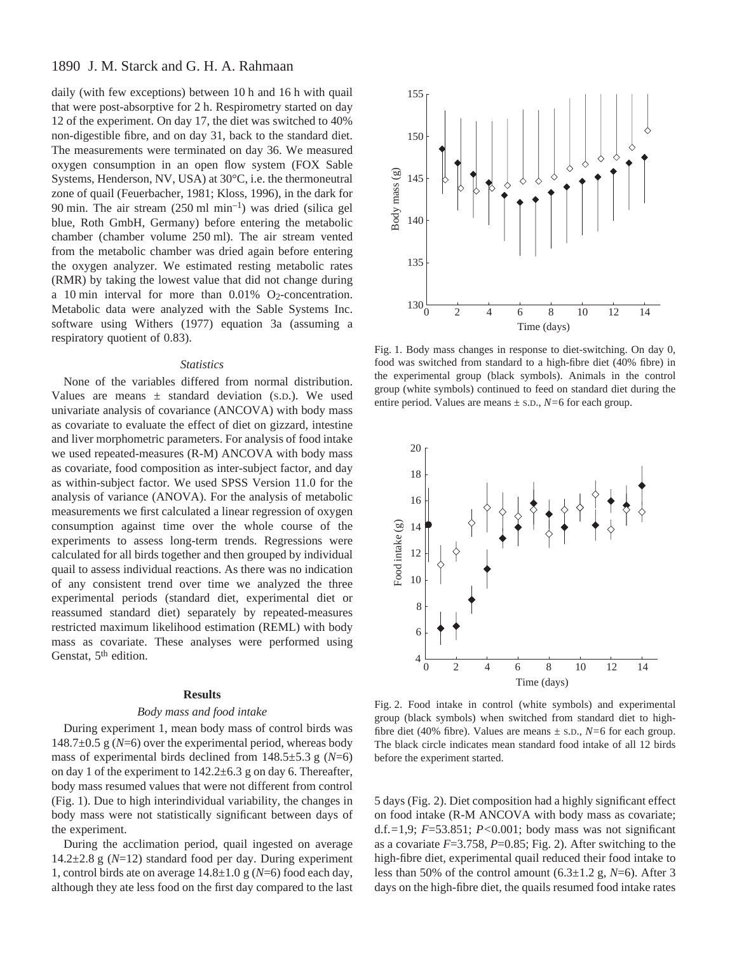# 1890 J. M. Starck and G. H. A. Rahmaan

daily (with few exceptions) between 10 h and 16 h with quail that were post-absorptive for 2 h. Respirometry started on day 12 of the experiment. On day 17, the diet was switched to 40% non-digestible fibre, and on day 31, back to the standard diet. The measurements were terminated on day 36. We measured oxygen consumption in an open flow system (FOX Sable Systems, Henderson, NV, USA) at 30°C, i.e. the thermoneutral zone of quail (Feuerbacher, 1981; Kloss, 1996), in the dark for 90 min. The air stream  $(250 \text{ ml } \text{min}^{-1})$  was dried (silica gel blue, Roth GmbH, Germany) before entering the metabolic chamber (chamber volume 250 ml). The air stream vented from the metabolic chamber was dried again before entering the oxygen analyzer. We estimated resting metabolic rates (RMR) by taking the lowest value that did not change during a 10 min interval for more than  $0.01\%$  O<sub>2</sub>-concentration. Metabolic data were analyzed with the Sable Systems Inc. software using Withers (1977) equation 3a (assuming a respiratory quotient of 0.83).

### *Statistics*

None of the variables differed from normal distribution. Values are means  $\pm$  standard deviation (S.D.). We used univariate analysis of covariance (ANCOVA) with body mass as covariate to evaluate the effect of diet on gizzard, intestine and liver morphometric parameters. For analysis of food intake we used repeated-measures (R-M) ANCOVA with body mass as covariate, food composition as inter-subject factor, and day as within-subject factor. We used SPSS Version 11.0 for the analysis of variance (ANOVA). For the analysis of metabolic measurements we first calculated a linear regression of oxygen consumption against time over the whole course of the experiments to assess long-term trends. Regressions were calculated for all birds together and then grouped by individual quail to assess individual reactions. As there was no indication of any consistent trend over time we analyzed the three experimental periods (standard diet, experimental diet or reassumed standard diet) separately by repeated-measures restricted maximum likelihood estimation (REML) with body mass as covariate. These analyses were performed using Genstat, 5<sup>th</sup> edition.

# **Results**

### *Body mass and food intake*

During experiment 1, mean body mass of control birds was 148.7 $\pm$ 0.5 g (*N*=6) over the experimental period, whereas body mass of experimental birds declined from  $148.5 \pm 5.3$  g ( $N=6$ ) on day 1 of the experiment to  $142.2\pm 6.3$  g on day 6. Thereafter, body mass resumed values that were not different from control (Fig. 1). Due to high interindividual variability, the changes in body mass were not statistically significant between days of the experiment.

During the acclimation period, quail ingested on average 14.2 $\pm$ 2.8 g (N=12) standard food per day. During experiment 1, control birds ate on average  $14.8 \pm 1.0$  g ( $N=6$ ) food each day, although they ate less food on the first day compared to the last



Fig. 1. Body mass changes in response to diet-switching. On day 0, food was switched from standard to a high-fibre diet (40% fibre) in the experimental group (black symbols). Animals in the control group (white symbols) continued to feed on standard diet during the entire period. Values are means ± S.D., *N=*6 for each group.



Fig. 2. Food intake in control (white symbols) and experimental group (black symbols) when switched from standard diet to highfibre diet (40% fibre). Values are means ± S.D., *N=*6 for each group. The black circle indicates mean standard food intake of all 12 birds before the experiment started.

5 days (Fig.·2). Diet composition had a highly significant effect on food intake (R-M ANCOVA with body mass as covariate; d.f.*=*1,9; *F*=53.851; *P<*0.001; body mass was not significant as a covariate  $F=3.758$ ,  $P=0.85$ ; Fig. 2). After switching to the high-fibre diet, experimental quail reduced their food intake to less than 50% of the control amount  $(6.3 \pm 1.2 \text{ g}, N=6)$ . After 3 days on the high-fibre diet, the quails resumed food intake rates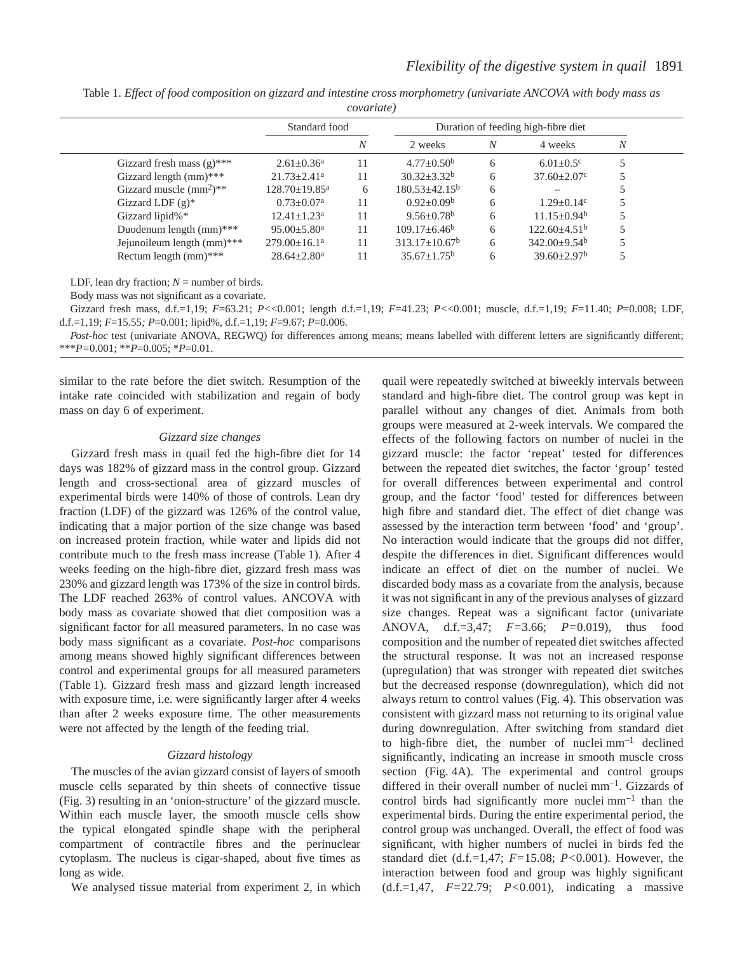|  | Table 1. Effect of food composition on gizzard and intestine cross morphometry (univariate ANCOVA with body mass as |  |                    |  |  |  |
|--|---------------------------------------------------------------------------------------------------------------------|--|--------------------|--|--|--|
|  |                                                                                                                     |  | <i>covariate</i> ) |  |  |  |

|                              | Standard food                   |    | Duration of feeding high-fibre diet |   |                             |   |  |
|------------------------------|---------------------------------|----|-------------------------------------|---|-----------------------------|---|--|
|                              |                                 | N  | 2 weeks                             | N | 4 weeks                     | N |  |
| Gizzard fresh mass $(g)$ *** | $2.61 \pm 0.36^a$               | 11 | $4.77 \pm 0.50^{\rm b}$             | 6 | $6.01 \pm 0.5$ <sup>c</sup> |   |  |
| Gizzard length $(mm)$ ***    | $21.73 \pm 2.41$ <sup>a</sup>   | 11 | $30.32 + 3.32^b$                    | 6 | $37.60 \pm 2.07$ °          |   |  |
| Gizzard muscle $(mm^2)**$    | $128.70 \pm 19.85$ <sup>a</sup> | 6  | 180.53±42.15 <sup>b</sup>           | 6 |                             |   |  |
| Gizzard LDF $(g)^*$          | $0.73 \pm 0.07^{\text{a}}$      | 11 | $0.92 \pm 0.09^b$                   | 6 | $1.29 + 0.14$ <sup>c</sup>  |   |  |
| Gizzard lipid%*              | $12.41 + 1.23^a$                | 11 | $9.56 + 0.78$ <sup>b</sup>          | 6 | $11.15 + 0.94^b$            |   |  |
| Duodenum length (mm)***      | $95.00 \pm 5.80$ <sup>a</sup>   | 11 | $109.17 \pm 6.46^b$                 | 6 | $122.60+4.51b$              |   |  |
| Jejunoileum length (mm)***   | $279.00 \pm 16.1^a$             | 11 | $313.17 \pm 10.67^b$                | 6 | $342.00 \pm 9.54^{\circ}$   |   |  |
| Rectum length $(mm)$ ***     | $28.64 \pm 2.80^a$              | 11 | $35.67 \pm 1.75^b$                  | 6 | $39.60 \pm 2.97^b$          |   |  |
|                              |                                 |    |                                     |   |                             |   |  |

LDF, lean dry fraction;  $N =$  number of birds.

Body mass was not significant as a covariate.

Gizzard fresh mass, d.f.=1,19; *F*=63.21; *P<*<0.001; length d.f.=1,19; *F*=41.23; *P<*<0.001; muscle, d.f.=1,19; *F*=11.40; *P*=0.008; LDF, d.f.=1,19; *F*=15.55*; P*=0.001; lipid%, d.f.=1,19; *F*=9.67; *P*=0.006.

*Post-hoc* test (univariate ANOVA, REGWQ) for differences among means; means labelled with different letters are significantly different; \*\*\**P=*0.001; \*\**P*=0.005; \**P*=0.01.

similar to the rate before the diet switch. Resumption of the intake rate coincided with stabilization and regain of body mass on day 6 of experiment.

#### *Gizzard size changes*

Gizzard fresh mass in quail fed the high-fibre diet for 14 days was 182% of gizzard mass in the control group. Gizzard length and cross-sectional area of gizzard muscles of experimental birds were 140% of those of controls. Lean dry fraction (LDF) of the gizzard was 126% of the control value, indicating that a major portion of the size change was based on increased protein fraction, while water and lipids did not contribute much to the fresh mass increase (Table 1). After 4 weeks feeding on the high-fibre diet, gizzard fresh mass was 230% and gizzard length was 173% of the size in control birds. The LDF reached 263% of control values. ANCOVA with body mass as covariate showed that diet composition was a significant factor for all measured parameters. In no case was body mass significant as a covariate. *Post-hoc* comparisons among means showed highly significant differences between control and experimental groups for all measured parameters (Table 1). Gizzard fresh mass and gizzard length increased with exposure time, i.e. were significantly larger after 4 weeks than after 2 weeks exposure time. The other measurements were not affected by the length of the feeding trial.

# *Gizzard histology*

The muscles of the avian gizzard consist of layers of smooth muscle cells separated by thin sheets of connective tissue (Fig. 3) resulting in an 'onion-structure' of the gizzard muscle. Within each muscle layer, the smooth muscle cells show the typical elongated spindle shape with the peripheral compartment of contractile fibres and the perinuclear cytoplasm. The nucleus is cigar-shaped, about five times as long as wide.

We analysed tissue material from experiment 2, in which

quail were repeatedly switched at biweekly intervals between standard and high-fibre diet. The control group was kept in parallel without any changes of diet. Animals from both groups were measured at 2-week intervals. We compared the effects of the following factors on number of nuclei in the gizzard muscle: the factor 'repeat' tested for differences between the repeated diet switches, the factor 'group' tested for overall differences between experimental and control group, and the factor 'food' tested for differences between high fibre and standard diet. The effect of diet change was assessed by the interaction term between 'food' and 'group'. No interaction would indicate that the groups did not differ, despite the differences in diet. Significant differences would indicate an effect of diet on the number of nuclei. We discarded body mass as a covariate from the analysis, because it was not significant in any of the previous analyses of gizzard size changes. Repeat was a significant factor (univariate ANOVA, d.f.=3,47; *F=*3.66; *P=*0.019), thus food composition and the number of repeated diet switches affected the structural response. It was not an increased response (upregulation) that was stronger with repeated diet switches but the decreased response (downregulation), which did not always return to control values (Fig. 4). This observation was consistent with gizzard mass not returning to its original value during downregulation. After switching from standard diet to high-fibre diet, the number of nuclei $mm^{-1}$  declined significantly, indicating an increase in smooth muscle cross section (Fig. 4A). The experimental and control groups differed in their overall number of nuclei mm<sup>-1</sup>. Gizzards of control birds had significantly more nuclei  $mm^{-1}$  than the experimental birds. During the entire experimental period, the control group was unchanged. Overall, the effect of food was significant, with higher numbers of nuclei in birds fed the standard diet (d.f.=1,47; *F=*15.08; *P<*0.001). However, the interaction between food and group was highly significant (d.f.=1,47, *F=*22.79; *P<*0.001), indicating a massive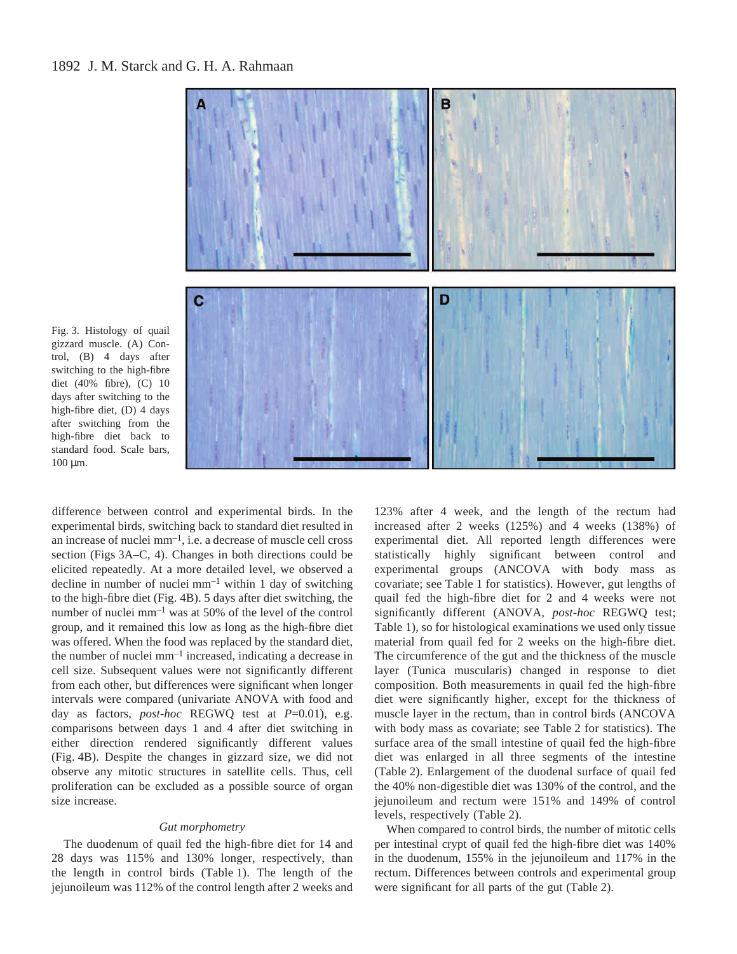

Fig. 3. Histology of quail gizzard muscle. (A) Control, (B) 4 days after switching to the high-fibre diet (40% fibre), (C) 10 days after switching to the high-fibre diet, (D) 4 days after switching from the high-fibre diet back to standard food. Scale bars,  $100 \mu m$ .

difference between control and experimental birds. In the experimental birds, switching back to standard diet resulted in an increase of nuclei $mm^{-1}$ , i.e. a decrease of muscle cell cross section (Figs 3A–C, 4). Changes in both directions could be elicited repeatedly. At a more detailed level, we observed a decline in number of nuclei  $mm^{-1}$  within 1 day of switching to the high-fibre diet (Fig. 4B). 5 days after diet switching, the number of nuclei  $mm^{-1}$  was at 50% of the level of the control group, and it remained this low as long as the high-fibre diet was offered. When the food was replaced by the standard diet, the number of nuclei  $mm^{-1}$  increased, indicating a decrease in cell size. Subsequent values were not significantly different from each other, but differences were significant when longer intervals were compared (univariate ANOVA with food and day as factors, *post-hoc* REGWQ test at *P*=0.01), e.g. comparisons between days 1 and 4 after diet switching in either direction rendered significantly different values (Fig. 4B). Despite the changes in gizzard size, we did not observe any mitotic structures in satellite cells. Thus, cell proliferation can be excluded as a possible source of organ size increase.

# *Gut morphometry*

The duodenum of quail fed the high-fibre diet for 14 and 28 days was 115% and 130% longer, respectively, than the length in control birds (Table 1). The length of the jejunoileum was 112% of the control length after 2 weeks and

123% after 4 week, and the length of the rectum had increased after 2 weeks (125%) and 4 weeks (138%) of experimental diet. All reported length differences were statistically highly significant between control and experimental groups (ANCOVA with body mass as covariate; see Table 1 for statistics). However, gut lengths of quail fed the high-fibre diet for 2 and 4 weeks were not significantly different (ANOVA, *post-hoc* REGWQ test; Table 1), so for histological examinations we used only tissue material from quail fed for 2 weeks on the high-fibre diet. The circumference of the gut and the thickness of the muscle layer (Tunica muscularis) changed in response to diet composition. Both measurements in quail fed the high-fibre diet were significantly higher, except for the thickness of muscle layer in the rectum, than in control birds (ANCOVA with body mass as covariate; see Table 2 for statistics). The surface area of the small intestine of quail fed the high-fibre diet was enlarged in all three segments of the intestine (Table 2). Enlargement of the duodenal surface of quail fed the 40% non-digestible diet was 130% of the control, and the jejunoileum and rectum were 151% and 149% of control levels, respectively (Table 2).

When compared to control birds, the number of mitotic cells per intestinal crypt of quail fed the high-fibre diet was 140% in the duodenum, 155% in the jejunoileum and 117% in the rectum. Differences between controls and experimental group were significant for all parts of the gut (Table 2).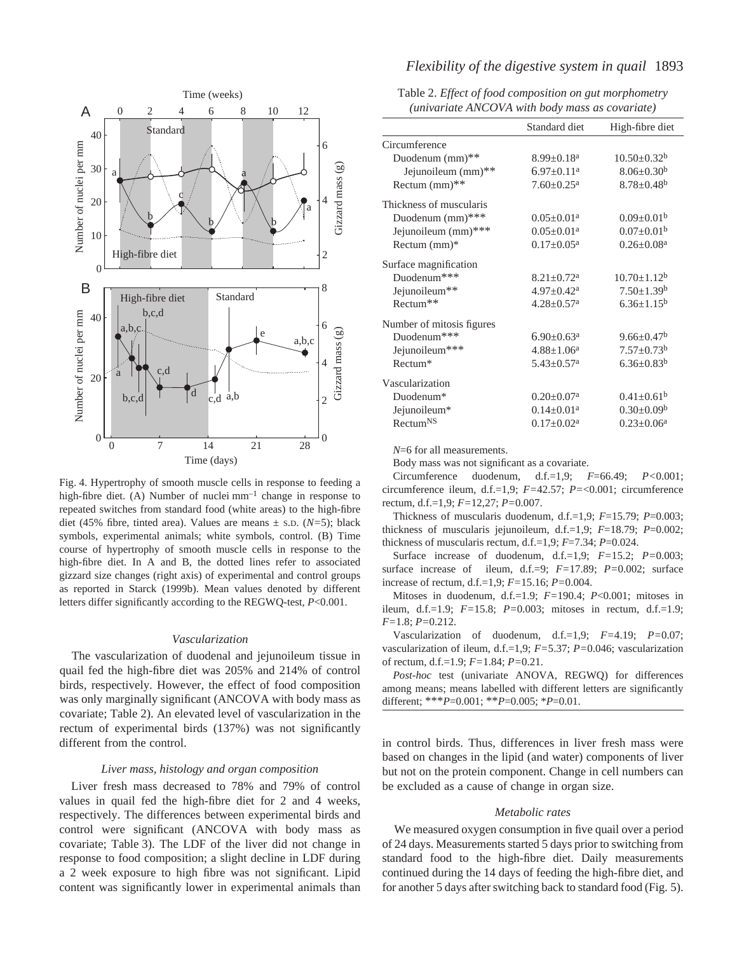

Fig. 4. Hypertrophy of smooth muscle cells in response to feeding a high-fibre diet. (A) Number of nuclei $mm^{-1}$  change in response to repeated switches from standard food (white areas) to the high-fibre diet (45% fibre, tinted area). Values are means ± S.D. (*N=*5); black symbols, experimental animals; white symbols, control. (B) Time course of hypertrophy of smooth muscle cells in response to the high-fibre diet. In A and B, the dotted lines refer to associated gizzard size changes (right axis) of experimental and control groups as reported in Starck (1999b). Mean values denoted by different letters differ significantly according to the REGWQ-test, *P*<0.001.

# *Vascularization*

The vascularization of duodenal and jejunoileum tissue in quail fed the high-fibre diet was 205% and 214% of control birds, respectively. However, the effect of food composition was only marginally significant (ANCOVA with body mass as covariate; Table 2). An elevated level of vascularization in the rectum of experimental birds (137%) was not significantly different from the control.

### *Liver mass, histology and organ composition*

Liver fresh mass decreased to 78% and 79% of control values in quail fed the high-fibre diet for 2 and 4 weeks, respectively. The differences between experimental birds and control were significant (ANCOVA with body mass as covariate; Table 3). The LDF of the liver did not change in response to food composition; a slight decline in LDF during a 2 week exposure to high fibre was not significant. Lipid content was significantly lower in experimental animals than

# *Flexibility of the digestive system in quail* 1893

|  | Table 2. Effect of food composition on gut morphometry |  |  |  |  |
|--|--------------------------------------------------------|--|--|--|--|
|  | (univariate ANCOVA with body mass as covariate)        |  |  |  |  |

|                                      | Standard diet                | High-fibre diet              |
|--------------------------------------|------------------------------|------------------------------|
| Circumference                        |                              |                              |
| Duodenum $(mm)$ <sup>**</sup>        | $8.99 \pm 0.18$ <sup>a</sup> | $10.50 \pm 0.32^b$           |
| Jejunoileum (mm)**                   | $6.97 \pm 0.11$ <sup>a</sup> | $8.06 \pm 0.30^b$            |
| Rectum (mm)**                        | $7.60 \pm 0.25$ <sup>a</sup> | $8.78 \pm 0.48$ <sup>b</sup> |
| Thickness of muscularis              |                              |                              |
| Duodenum (mm)***                     | $0.05 \pm 0.01$ <sup>a</sup> | $0.09 \pm 0.01^b$            |
| Jejunoileum (mm)***                  | $0.05 \pm 0.01$ <sup>a</sup> | $0.07 \pm 0.01^{\rm b}$      |
| Rectum (mm)*                         | $0.17 \pm 0.05^{\text{a}}$   | $0.26 \pm 0.08^a$            |
| Surface magnification                |                              |                              |
| Duodenum***                          | $8.21 \pm 0.72$ <sup>a</sup> | $10.70 \pm 1.12^b$           |
| Jejunoileum**                        | $4.97 \pm 0.42^{\text{a}}$   | $7.50 \pm 1.39^b$            |
| Rectum**                             | $4.28 \pm 0.57$ <sup>a</sup> | $6.36 \pm 1.15^b$            |
| Number of mitosis figures            |                              |                              |
| Duodenum <sup><math>***</math></sup> | $6.90 \pm 0.63$ <sup>a</sup> | $9.66 \pm 0.47$ <sup>b</sup> |
| Jejunoileum***                       | $4.88 \pm 1.06^a$            | $7.57 \pm 0.73^b$            |
| Rectum*                              | $5.43 \pm 0.57$ <sup>a</sup> | $6.36 \pm 0.83^b$            |
| Vascularization                      |                              |                              |
| Duodenum*                            | $0.20 \pm 0.07^{\text{a}}$   | $0.41 \pm 0.61^b$            |
| Jejunoileum*                         | $0.14 \pm 0.01$ <sup>a</sup> | $0.30 \pm 0.09^b$            |
| Rectum <sup>NS</sup>                 | $0.17 \pm 0.02^a$            | $0.23 \pm 0.06^a$            |

*N*=6 for all measurements.

Body mass was not significant as a covariate.

Circumference duodenum, d.f.=1,9; *F*=66.49; *P<*0.001; circumference ileum, d.f.=1,9; *F=*42.57; *P=*<0.001; circumference rectum, d.f.=1,9; *F=*12,27; *P=*0.007.

Thickness of muscularis duodenum, d.f.=1,9; *F*=15.79; *P*=0.003; thickness of muscularis jejunoileum, d.f.=1,9; *F*=18.79; *P*=0.002; thickness of muscularis rectum, d.f.=1,9; *F*=7.34; *P*=0.024.

Surface increase of duodenum, d.f.=1,9; *F=*15.2; *P=*0.003; surface increase of ileum, d.f.=9; *F=*17.89; *P=*0.002; surface increase of rectum, d.f.=1,9; *F=*15.16; *P=*0.004.

Mitoses in duodenum, d.f.=1.9; *F=*190.4; *P*<0.001; mitoses in ileum, d.f.=1.9; *F=*15.8; *P=*0.003; mitoses in rectum, d.f.=1.9; *F=*1.8; *P=*0.212.

Vascularization of duodenum, d.f.=1,9; *F=*4.19; *P=*0.07; vascularization of ileum, d.f.=1,9; *F=*5.37; *P=*0.046; vascularization of rectum, d.f.=1.9; *F=*1.84; *P=*0.21.

*Post-hoc* test (univariate ANOVA, REGWQ) for differences among means; means labelled with different letters are significantly different; \*\*\**P*=0.001; \*\**P*=0.005; \**P*=0.01.

in control birds. Thus, differences in liver fresh mass were based on changes in the lipid (and water) components of liver but not on the protein component. Change in cell numbers can be excluded as a cause of change in organ size.

#### *Metabolic rates*

We measured oxygen consumption in five quail over a period of 24 days. Measurements started 5 days prior to switching from standard food to the high-fibre diet. Daily measurements continued during the 14 days of feeding the high-fibre diet, and for another 5 days after switching back to standard food (Fig. 5).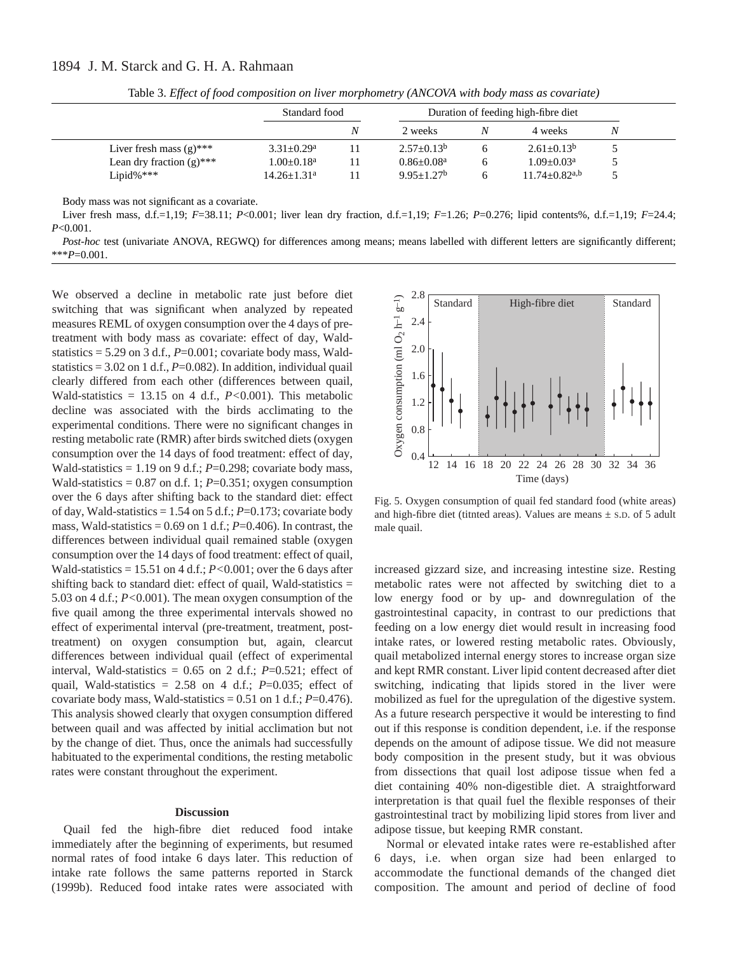|                             | Standard food   |    | Duration of feeding high-fibre diet |   |                               |   |  |
|-----------------------------|-----------------|----|-------------------------------------|---|-------------------------------|---|--|
|                             |                 | Ν  | 2 weeks                             |   | 4 weeks                       | Ν |  |
| Liver fresh mass $(g)$ ***  | $3.31 + 0.29^a$ | 11 | $2.57+0.13b$                        |   | $2.61 + 0.13b$                |   |  |
| Lean dry fraction $(g)$ *** | $1.00 + 0.18^a$ | 11 | $0.86 + 0.08a$                      | h | $1.09 + 0.03^a$               |   |  |
| Lipid% $***$                | $14.26 + 1.31a$ |    | $9.95+1.27b$                        | h | $11.74 + 0.82$ <sup>a,b</sup> |   |  |

Table 3. *Effect of food composition on liver morphometry (ANCOVA with body mass as covariate)* 

Body mass was not significant as a covariate.

Liver fresh mass, d.f.=1,19; *F*=38.11; *P*<0.001; liver lean dry fraction, d.f.=1,19; *F*=1.26; *P*=0.276; lipid contents%, d.f.=1,19; *F*=24.4; *P*<0.001.

*Post-hoc* test (univariate ANOVA, REGWQ) for differences among means; means labelled with different letters are significantly different; \*\*\**P*=0.001.

We observed a decline in metabolic rate just before diet switching that was significant when analyzed by repeated measures REML of oxygen consumption over the 4 days of pretreatment with body mass as covariate: effect of day, Waldstatistics  $= 5.29$  on 3 d.f.,  $P=0.001$ ; covariate body mass, Waldstatistics =  $3.02$  on 1 d.f.,  $P=0.082$ ). In addition, individual quail clearly differed from each other (differences between quail, Wald-statistics = 13.15 on 4 d.f., *P<*0.001). This metabolic decline was associated with the birds acclimating to the experimental conditions. There were no significant changes in resting metabolic rate (RMR) after birds switched diets (oxygen consumption over the 14 days of food treatment: effect of day, Wald-statistics = 1.19 on 9 d.f.; *P*=0.298; covariate body mass, Wald-statistics =  $0.87$  on d.f. 1;  $P=0.351$ ; oxygen consumption over the 6 days after shifting back to the standard diet: effect of day, Wald-statistics  $= 1.54$  on 5 d.f.;  $P = 0.173$ ; covariate body mass, Wald-statistics =  $0.69$  on 1 d.f.;  $P=0.406$ ). In contrast, the differences between individual quail remained stable (oxygen consumption over the 14 days of food treatment: effect of quail, Wald-statistics = 15.51 on 4 d.f.; *P<*0.001; over the 6 days after shifting back to standard diet: effect of quail, Wald-statistics  $=$ 5.03 on 4 d.f.; *P<*0.001). The mean oxygen consumption of the five quail among the three experimental intervals showed no effect of experimental interval (pre-treatment, treatment, posttreatment) on oxygen consumption but, again, clearcut differences between individual quail (effect of experimental interval, Wald-statistics  $= 0.65$  on 2 d.f.;  $P=0.521$ ; effect of quail, Wald-statistics =  $2.58$  on 4 d.f.;  $P=0.035$ ; effect of covariate body mass, Wald-statistics =  $0.51$  on 1 d.f.;  $P=0.476$ ). This analysis showed clearly that oxygen consumption differed between quail and was affected by initial acclimation but not by the change of diet. Thus, once the animals had successfully habituated to the experimental conditions, the resting metabolic rates were constant throughout the experiment.

### **Discussion**

Quail fed the high-fibre diet reduced food intake immediately after the beginning of experiments, but resumed normal rates of food intake 6 days later. This reduction of intake rate follows the same patterns reported in Starck (1999b). Reduced food intake rates were associated with



Fig. 5. Oxygen consumption of quail fed standard food (white areas) and high-fibre diet (titnted areas). Values are means  $\pm$  s.p. of 5 adult male quail.

increased gizzard size, and increasing intestine size. Resting metabolic rates were not affected by switching diet to a low energy food or by up- and downregulation of the gastrointestinal capacity, in contrast to our predictions that feeding on a low energy diet would result in increasing food intake rates, or lowered resting metabolic rates. Obviously, quail metabolized internal energy stores to increase organ size and kept RMR constant. Liver lipid content decreased after diet switching, indicating that lipids stored in the liver were mobilized as fuel for the upregulation of the digestive system. As a future research perspective it would be interesting to find out if this response is condition dependent, i.e. if the response depends on the amount of adipose tissue. We did not measure body composition in the present study, but it was obvious from dissections that quail lost adipose tissue when fed a diet containing 40% non-digestible diet. A straightforward interpretation is that quail fuel the flexible responses of their gastrointestinal tract by mobilizing lipid stores from liver and adipose tissue, but keeping RMR constant.

Normal or elevated intake rates were re-established after 6 days, i.e. when organ size had been enlarged to accommodate the functional demands of the changed diet composition. The amount and period of decline of food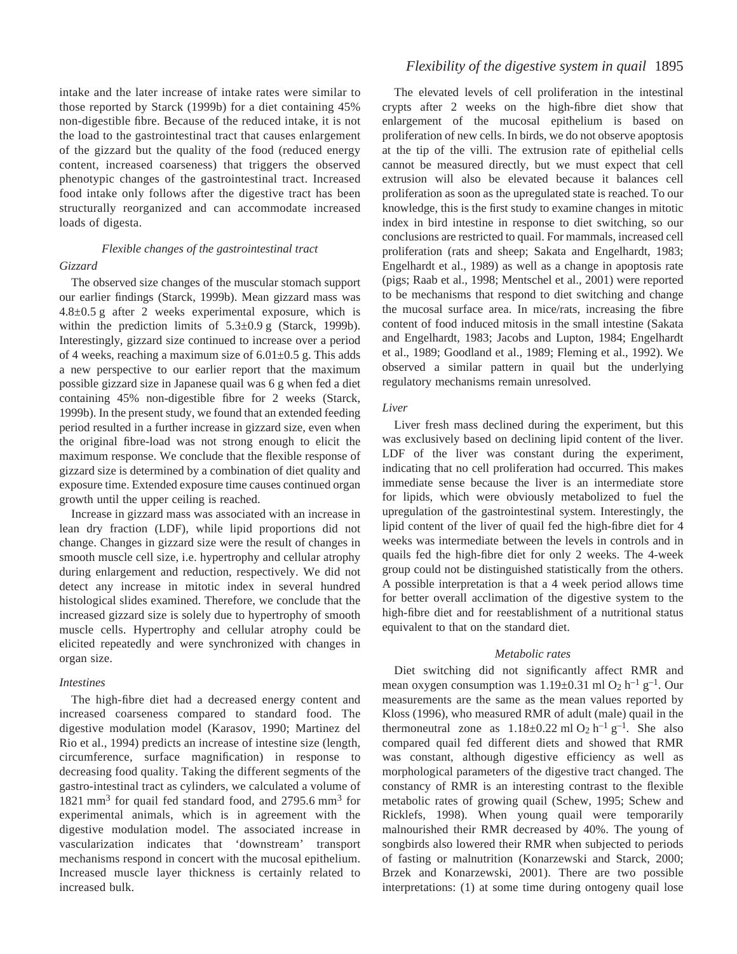intake and the later increase of intake rates were similar to those reported by Starck (1999b) for a diet containing 45% non-digestible fibre. Because of the reduced intake, it is not the load to the gastrointestinal tract that causes enlargement of the gizzard but the quality of the food (reduced energy content, increased coarseness) that triggers the observed phenotypic changes of the gastrointestinal tract. Increased food intake only follows after the digestive tract has been structurally reorganized and can accommodate increased loads of digesta.

# *Flexible changes of the gastrointestinal tract Gizzard*

The observed size changes of the muscular stomach support our earlier findings (Starck, 1999b). Mean gizzard mass was  $4.8\pm0.5$  g after 2 weeks experimental exposure, which is within the prediction limits of  $5.3\pm0.9\text{ g}$  (Starck, 1999b). Interestingly, gizzard size continued to increase over a period of 4 weeks, reaching a maximum size of  $6.01\pm0.5$  g. This adds a new perspective to our earlier report that the maximum possible gizzard size in Japanese quail was 6 g when fed a diet containing 45% non-digestible fibre for 2 weeks (Starck, 1999b). In the present study, we found that an extended feeding period resulted in a further increase in gizzard size, even when the original fibre-load was not strong enough to elicit the maximum response. We conclude that the flexible response of gizzard size is determined by a combination of diet quality and exposure time. Extended exposure time causes continued organ growth until the upper ceiling is reached.

Increase in gizzard mass was associated with an increase in lean dry fraction (LDF), while lipid proportions did not change. Changes in gizzard size were the result of changes in smooth muscle cell size, i.e. hypertrophy and cellular atrophy during enlargement and reduction, respectively. We did not detect any increase in mitotic index in several hundred histological slides examined. Therefore, we conclude that the increased gizzard size is solely due to hypertrophy of smooth muscle cells. Hypertrophy and cellular atrophy could be elicited repeatedly and were synchronized with changes in organ size.

# *Intestines*

The high-fibre diet had a decreased energy content and increased coarseness compared to standard food. The digestive modulation model (Karasov, 1990; Martinez del Rio et al., 1994) predicts an increase of intestine size (length, circumference, surface magnification) in response to decreasing food quality. Taking the different segments of the gastro-intestinal tract as cylinders, we calculated a volume of 1821  $mm^3$  for quail fed standard food, and 2795.6  $mm^3$  for experimental animals, which is in agreement with the digestive modulation model. The associated increase in vascularization indicates that 'downstream' transport mechanisms respond in concert with the mucosal epithelium. Increased muscle layer thickness is certainly related to increased bulk.

# *Flexibility of the digestive system in quail* 1895

The elevated levels of cell proliferation in the intestinal crypts after 2 weeks on the high-fibre diet show that enlargement of the mucosal epithelium is based on proliferation of new cells. In birds, we do not observe apoptosis at the tip of the villi. The extrusion rate of epithelial cells cannot be measured directly, but we must expect that cell extrusion will also be elevated because it balances cell proliferation as soon as the upregulated state is reached. To our knowledge, this is the first study to examine changes in mitotic index in bird intestine in response to diet switching, so our conclusions are restricted to quail. For mammals, increased cell proliferation (rats and sheep; Sakata and Engelhardt, 1983; Engelhardt et al., 1989) as well as a change in apoptosis rate (pigs; Raab et al., 1998; Mentschel et al., 2001) were reported to be mechanisms that respond to diet switching and change the mucosal surface area. In mice/rats, increasing the fibre content of food induced mitosis in the small intestine (Sakata and Engelhardt, 1983; Jacobs and Lupton, 1984; Engelhardt et al., 1989; Goodland et al., 1989; Fleming et al., 1992). We observed a similar pattern in quail but the underlying regulatory mechanisms remain unresolved.

# *Liver*

Liver fresh mass declined during the experiment, but this was exclusively based on declining lipid content of the liver. LDF of the liver was constant during the experiment, indicating that no cell proliferation had occurred. This makes immediate sense because the liver is an intermediate store for lipids, which were obviously metabolized to fuel the upregulation of the gastrointestinal system. Interestingly, the lipid content of the liver of quail fed the high-fibre diet for 4 weeks was intermediate between the levels in controls and in quails fed the high-fibre diet for only 2 weeks. The 4-week group could not be distinguished statistically from the others. A possible interpretation is that a 4 week period allows time for better overall acclimation of the digestive system to the high-fibre diet and for reestablishment of a nutritional status equivalent to that on the standard diet.

# *Metabolic rates*

Diet switching did not significantly affect RMR and mean oxygen consumption was  $1.19\pm0.31$  ml O<sub>2</sub> h<sup>-1</sup> g<sup>-1</sup>. Our measurements are the same as the mean values reported by Kloss (1996), who measured RMR of adult (male) quail in the thermoneutral zone as  $1.18\pm0.22$  ml O<sub>2</sub> h<sup>-1</sup> g<sup>-1</sup>. She also compared quail fed different diets and showed that RMR was constant, although digestive efficiency as well as morphological parameters of the digestive tract changed. The constancy of RMR is an interesting contrast to the flexible metabolic rates of growing quail (Schew, 1995; Schew and Ricklefs, 1998). When young quail were temporarily malnourished their RMR decreased by 40%. The young of songbirds also lowered their RMR when subjected to periods of fasting or malnutrition (Konarzewski and Starck, 2000; Brzek and Konarzewski, 2001). There are two possible interpretations: (1) at some time during ontogeny quail lose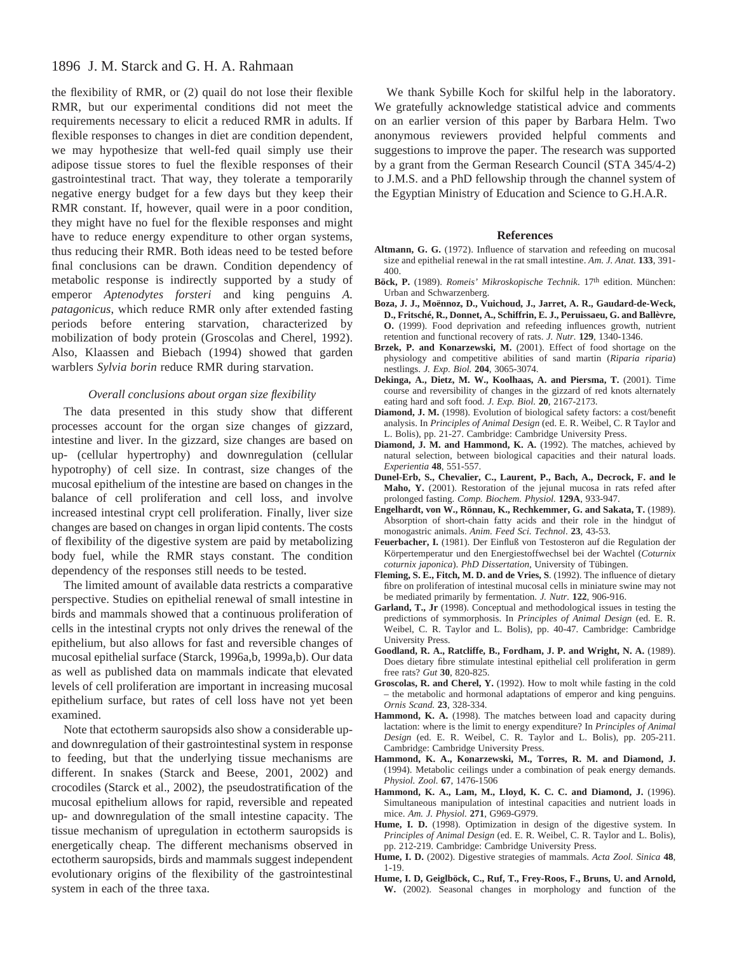# 1896 J. M. Starck and G. H. A. Rahmaan

the flexibility of RMR, or (2) quail do not lose their flexible RMR, but our experimental conditions did not meet the requirements necessary to elicit a reduced RMR in adults. If flexible responses to changes in diet are condition dependent, we may hypothesize that well-fed quail simply use their adipose tissue stores to fuel the flexible responses of their gastrointestinal tract. That way, they tolerate a temporarily negative energy budget for a few days but they keep their RMR constant. If, however, quail were in a poor condition, they might have no fuel for the flexible responses and might have to reduce energy expenditure to other organ systems, thus reducing their RMR. Both ideas need to be tested before final conclusions can be drawn. Condition dependency of metabolic response is indirectly supported by a study of emperor *Aptenodytes forsteri* and king penguins *A. patagonicus*, which reduce RMR only after extended fasting periods before entering starvation, characterized by mobilization of body protein (Groscolas and Cherel, 1992). Also, Klaassen and Biebach (1994) showed that garden warblers *Sylvia borin* reduce RMR during starvation.

# *Overall conclusions about organ size flexibility*

The data presented in this study show that different processes account for the organ size changes of gizzard, intestine and liver. In the gizzard, size changes are based on up- (cellular hypertrophy) and downregulation (cellular hypotrophy) of cell size. In contrast, size changes of the mucosal epithelium of the intestine are based on changes in the balance of cell proliferation and cell loss, and involve increased intestinal crypt cell proliferation. Finally, liver size changes are based on changes in organ lipid contents. The costs of flexibility of the digestive system are paid by metabolizing body fuel, while the RMR stays constant. The condition dependency of the responses still needs to be tested.

The limited amount of available data restricts a comparative perspective. Studies on epithelial renewal of small intestine in birds and mammals showed that a continuous proliferation of cells in the intestinal crypts not only drives the renewal of the epithelium, but also allows for fast and reversible changes of mucosal epithelial surface (Starck, 1996a,b, 1999a,b). Our data as well as published data on mammals indicate that elevated levels of cell proliferation are important in increasing mucosal epithelium surface, but rates of cell loss have not yet been examined.

Note that ectotherm sauropsids also show a considerable upand downregulation of their gastrointestinal system in response to feeding, but that the underlying tissue mechanisms are different. In snakes (Starck and Beese, 2001, 2002) and crocodiles (Starck et al., 2002), the pseudostratification of the mucosal epithelium allows for rapid, reversible and repeated up- and downregulation of the small intestine capacity. The tissue mechanism of upregulation in ectotherm sauropsids is energetically cheap. The different mechanisms observed in ectotherm sauropsids, birds and mammals suggest independent evolutionary origins of the flexibility of the gastrointestinal system in each of the three taxa.

We thank Sybille Koch for skilful help in the laboratory. We gratefully acknowledge statistical advice and comments on an earlier version of this paper by Barbara Helm. Two anonymous reviewers provided helpful comments and suggestions to improve the paper. The research was supported by a grant from the German Research Council (STA 345/4-2) to J.M.S. and a PhD fellowship through the channel system of the Egyptian Ministry of Education and Science to G.H.A.R.

#### **References**

- **Altmann, G. G.** (1972). Influence of starvation and refeeding on mucosal size and epithelial renewal in the rat small intestine. *Am. J. Anat.* **133**, 391- 400.
- **Böck, P.** (1989). *Romeis' Mikroskopische Technik*. 17th edition. München: Urban and Schwarzenberg.
- **Boza, J. J., Moënnoz, D., Vuichoud, J., Jarret, A. R., Gaudard-de-Weck, D., Fritsché, R., Donnet, A., Schiffrin, E. J., Peruissaeu, G. and Ballèvre, O.** (1999). Food deprivation and refeeding influences growth, nutrient retention and functional recovery of rats. *J. Nutr.* **129**, 1340-1346.
- **Brzek, P. and Konarzewski, M.** (2001). Effect of food shortage on the physiology and competitive abilities of sand martin (*Riparia riparia*) nestlings. *J. Exp. Biol.* **204**, 3065-3074.
- **Dekinga, A., Dietz, M. W., Koolhaas, A. and Piersma, T.** (2001). Time course and reversibility of changes in the gizzard of red knots alternately eating hard and soft food. *J. Exp. Biol.* **20**, 2167-2173.
- **Diamond, J. M.** (1998). Evolution of biological safety factors: a cost/benefit analysis. In *Principles of Animal Design* (ed. E. R. Weibel, C. R Taylor and L. Bolis), pp. 21-27. Cambridge: Cambridge University Press.
- **Diamond, J. M. and Hammond, K. A.** (1992). The matches, achieved by natural selection, between biological capacities and their natural loads. *Experientia* **48**, 551-557.
- **Dunel-Erb, S., Chevalier, C., Laurent, P., Bach, A., Decrock, F. and le Maho, Y.** (2001). Restoration of the jejunal mucosa in rats refed after prolonged fasting. *Comp. Biochem. Physiol.* **129A**, 933-947.
- **Engelhardt, von W., Rönnau, K., Rechkemmer, G. and Sakata, T.** (1989). Absorption of short-chain fatty acids and their role in the hindgut of monogastric animals. *Anim. Feed Sci. Technol*. **23**, 43-53.
- **Feuerbacher, I.** (1981). Der Einfluß von Testosteron auf die Regulation der Körpertemperatur und den Energiestoffwechsel bei der Wachtel (*Coturnix coturnix japonica*). *PhD Dissertation*, University of Tübingen.
- **Fleming, S. E., Fitch, M. D. and de Vries, S**. (1992). The influence of dietary fibre on proliferation of intestinal mucosal cells in miniature swine may not be mediated primarily by fermentation. *J. Nutr.* **122**, 906-916.
- **Garland, T., Jr** (1998). Conceptual and methodological issues in testing the predictions of symmorphosis. In *Principles of Animal Design* (ed. E. R. Weibel, C. R. Taylor and L. Bolis), pp. 40-47. Cambridge: Cambridge University Press.
- **Goodland, R. A., Ratcliffe, B., Fordham, J. P. and Wright, N. A.** (1989). Does dietary fibre stimulate intestinal epithelial cell proliferation in germ free rats? *Gut* **30**, 820-825.
- **Groscolas, R. and Cherel, Y.** (1992). How to molt while fasting in the cold the metabolic and hormonal adaptations of emperor and king penguins. *Ornis Scand.* **23**, 328-334.
- **Hammond, K. A.** (1998). The matches between load and capacity during lactation: where is the limit to energy expenditure? In *Principles of Animal Design* (ed. E. R. Weibel, C. R. Taylor and L. Bolis), pp. 205-211. Cambridge: Cambridge University Press.
- **Hammond, K. A., Konarzewski, M., Torres, R. M. and Diamond, J.** (1994). Metabolic ceilings under a combination of peak energy demands. *Physiol. Zool.* **67**, 1476-1506
- **Hammond, K. A., Lam, M., Lloyd, K. C. C. and Diamond, J.** (1996). Simultaneous manipulation of intestinal capacities and nutrient loads in mice. *Am. J. Physiol.* **271**, G969-G979.
- **Hume, I. D.** (1998). Optimization in design of the digestive system. In *Principles of Animal Design* (ed. E. R. Weibel, C. R. Taylor and L. Bolis), pp. 212-219. Cambridge: Cambridge University Press.
- **Hume, I. D.** (2002). Digestive strategies of mammals. *Acta Zool. Sinica* **48**, 1-19.
- **Hume, I. D, Geiglböck, C., Ruf, T., Frey-Roos, F., Bruns, U. and Arnold, W.** (2002). Seasonal changes in morphology and function of the